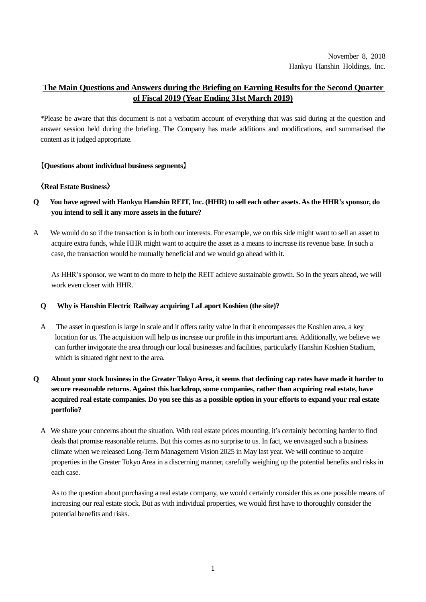November 8, 2018 Hankyu Hanshin Holdings, Inc.

# **The Main Questions and Answers during the Briefing on Earning Results for the Second Quarter of Fiscal 2019 (Year Ending 31st March 2019)**

\*Please be aware that this document is not a verbatim account of everything that was said during at the question and answer session held during the briefing. The Company has made additions and modifications, and summarised the content as it judged appropriate.

### **【Questions about individual business segments】**

### **〈Real Estate Business〉**

- **Q You have agreed with Hankyu Hanshin REIT, Inc. (HHR) to sell each other assets. As the HHR's sponsor, do you intend to sell it any more assets in the future?**
- A We would do so if the transaction is in both our interests. For example, we on this side might want to sell an asset to acquire extra funds, while HHR might want to acquire the asset as a means to increase its revenue base. In such a case, the transaction would be mutually beneficial and we would go ahead with it.

As HHR's sponsor, we want to do more to help the REIT achieve sustainable growth. So in the years ahead, we will work even closer with HHR.

#### **Q Why is Hanshin Electric Railway acquiring LaLaport Koshien (the site)?**

A The asset in question is large in scale and it offers rarity value in that it encompasses the Koshien area, a key location for us. The acquisition will help us increase our profile in this important area. Additionally, we believe we can further invigorate the area through our local businesses and facilities, particularly Hanshin Koshien Stadium, which is situated right next to the area.

# **Q About your stock business in the Greater Tokyo Area, it seems that declining cap rates have made it harder to secure reasonable returns. Against this backdrop, some companies, rather than acquiring real estate, have acquired real estate companies. Do you see this as a possible option in your efforts to expand your real estate portfolio?**

A We share your concerns about the situation. With real estate prices mounting, it's certainly becoming harder to find deals that promise reasonable returns. But this comes as no surprise to us. In fact, we envisaged such a business climate when we released Long-Term Management Vision 2025 in May last year. We will continue to acquire properties in the Greater Tokyo Area in a discerning manner, carefully weighing up the potential benefits and risks in each case.

As to the question about purchasing a real estate company, we would certainly consider this as one possible means of increasing our real estate stock. But as with individual properties, we would first have to thoroughly consider the potential benefits and risks.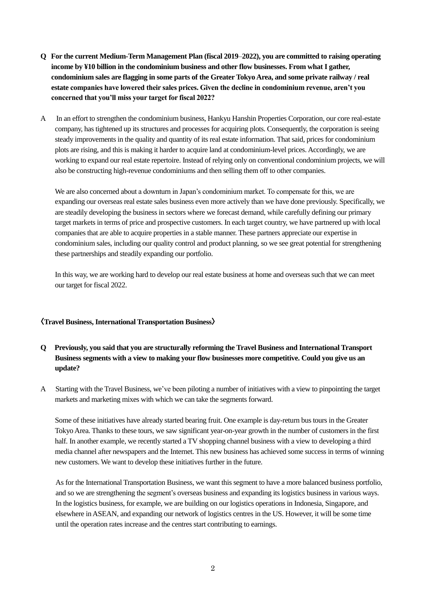- **Q For the current Medium-Term Management Plan (fiscal 2019**–**2022), you are committed to raising operating**  income by ¥10 billion in the condominium business and other flow businesses. From what I gather, **condominium sales are flagging in some parts of the Greater Tokyo Area, and some private railway / real estate companies have lowered their sales prices. Given the decline in condominium revenue, aren't you concerned that you'll miss your target for fiscal 2022?**
- A In an effort to strengthen the condominium business, Hankyu Hanshin Properties Corporation, our core real-estate company, has tightened up its structures and processes for acquiring plots. Consequently, the corporation is seeing steady improvements in the quality and quantity of its real estate information. That said, prices for condominium plots are rising, and this is making it harder to acquire land at condominium-level prices. Accordingly, we are working to expand our real estate repertoire. Instead of relying only on conventional condominium projects, we will also be constructing high-revenue condominiums and then selling them off to other companies.

We are also concerned about a downturn in Japan's condominium market. To compensate for this, we are expanding our overseas real estate sales business even more actively than we have done previously. Specifically, we are steadily developing the business in sectors where we forecast demand, while carefully defining our primary target markets in terms of price and prospective customers. In each target country, we have partnered up with local companies that are able to acquire properties in a stable manner. These partners appreciate our expertise in condominium sales, including our quality control and product planning, so we see great potential for strengthening these partnerships and steadily expanding our portfolio.

In this way, we are working hard to develop our real estate business at home and overseas such that we can meet our target for fiscal 2022.

#### **〈Travel Business, International Transportation Business〉**

## **Q Previously, you said that you are structurally reforming the Travel Business and International Transport Business segments with a view to making your flow businesses more competitive. Could you give us an update?**

A Starting with the Travel Business, we've been piloting a number of initiatives with a view to pinpointing the target markets and marketing mixes with which we can take the segments forward.

Some of these initiatives have already started bearing fruit. One example is day-return bus tours in the Greater Tokyo Area. Thanks to these tours, we saw significant year-on-year growth in the number of customers in the first half. In another example, we recently started a TV shopping channel business with a view to developing a third media channel after newspapers and the Internet. This new business has achieved some success in terms of winning new customers. We want to develop these initiatives further in the future.

As for the International Transportation Business, we want this segment to have a more balanced business portfolio, and so we are strengthening the segment's overseas business and expanding its logistics business in various ways. In the logistics business, for example, we are building on our logistics operations in Indonesia, Singapore, and elsewhere in ASEAN, and expanding our network of logistics centres in the US. However, it will be some time until the operation rates increase and the centres start contributing to earnings.